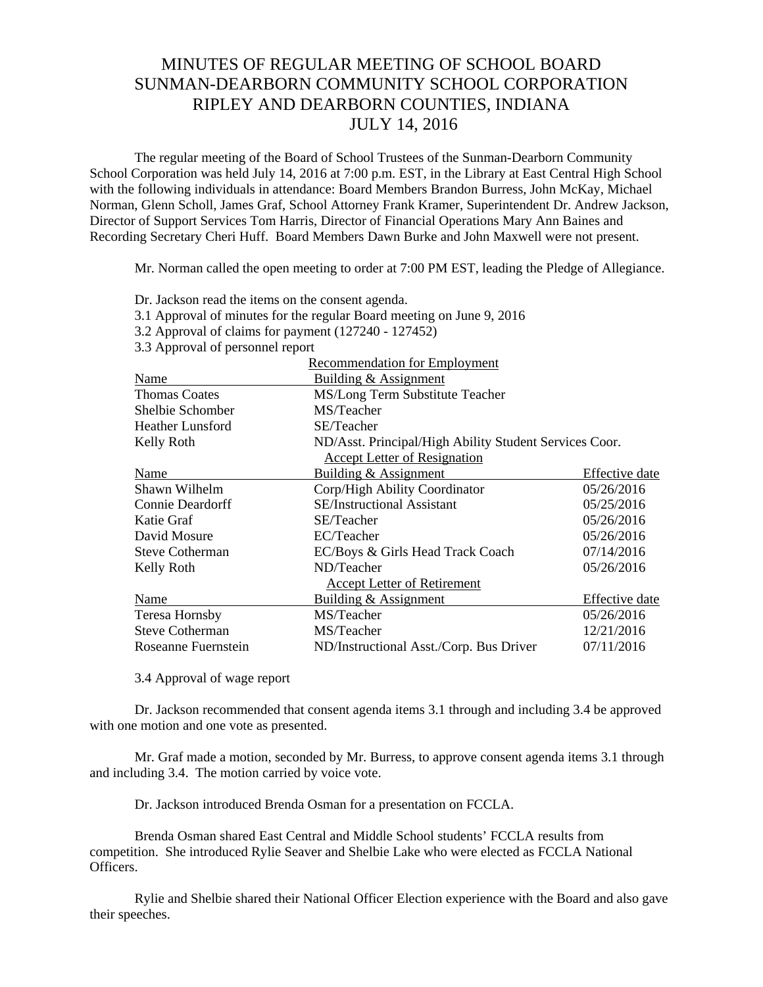## MINUTES OF REGULAR MEETING OF SCHOOL BOARD SUNMAN-DEARBORN COMMUNITY SCHOOL CORPORATION RIPLEY AND DEARBORN COUNTIES, INDIANA JULY 14, 2016

The regular meeting of the Board of School Trustees of the Sunman-Dearborn Community School Corporation was held July 14, 2016 at 7:00 p.m. EST, in the Library at East Central High School with the following individuals in attendance: Board Members Brandon Burress, John McKay, Michael Norman, Glenn Scholl, James Graf, School Attorney Frank Kramer, Superintendent Dr. Andrew Jackson, Director of Support Services Tom Harris, Director of Financial Operations Mary Ann Baines and Recording Secretary Cheri Huff. Board Members Dawn Burke and John Maxwell were not present.

Mr. Norman called the open meeting to order at 7:00 PM EST, leading the Pledge of Allegiance.

|                                  | $\frac{1}{2}$ . The state of minimal state intervals on $\frac{1}{2}$ states internally |                |
|----------------------------------|-----------------------------------------------------------------------------------------|----------------|
|                                  | 3.2 Approval of claims for payment (127240 - 127452)                                    |                |
| 3.3 Approval of personnel report |                                                                                         |                |
|                                  | <b>Recommendation for Employment</b>                                                    |                |
| Name                             | <b>Building &amp; Assignment</b>                                                        |                |
| <b>Thomas Coates</b>             | MS/Long Term Substitute Teacher                                                         |                |
| Shelbie Schomber                 | MS/Teacher                                                                              |                |
| <b>Heather Lunsford</b>          | SE/Teacher                                                                              |                |
| Kelly Roth                       | ND/Asst. Principal/High Ability Student Services Coor.                                  |                |
|                                  | <b>Accept Letter of Resignation</b>                                                     |                |
| Name                             | Building & Assignment                                                                   | Effective date |
| Shawn Wilhelm                    | Corp/High Ability Coordinator                                                           | 05/26/2016     |
| <b>Connie Deardorff</b>          | <b>SE/Instructional Assistant</b>                                                       | 05/25/2016     |
| Katie Graf                       | SE/Teacher                                                                              | 05/26/2016     |
| David Mosure                     | EC/Teacher                                                                              | 05/26/2016     |
| <b>Steve Cotherman</b>           | EC/Boys & Girls Head Track Coach                                                        | 07/14/2016     |
| Kelly Roth                       | ND/Teacher                                                                              | 05/26/2016     |
|                                  | <b>Accept Letter of Retirement</b>                                                      |                |
| Name                             | Building & Assignment                                                                   | Effective date |
| Teresa Hornsby                   | MS/Teacher                                                                              | 05/26/2016     |
| <b>Steve Cotherman</b>           | MS/Teacher                                                                              | 12/21/2016     |
| Roseanne Fuernstein              | ND/Instructional Asst./Corp. Bus Driver                                                 | 07/11/2016     |
|                                  |                                                                                         |                |

Dr. Jackson read the items on the consent agenda.

3.1 Approval of minutes for the regular Board meeting on June 9, 2016

3.4 Approval of wage report

 Dr. Jackson recommended that consent agenda items 3.1 through and including 3.4 be approved with one motion and one vote as presented.

 Mr. Graf made a motion, seconded by Mr. Burress, to approve consent agenda items 3.1 through and including 3.4. The motion carried by voice vote.

Dr. Jackson introduced Brenda Osman for a presentation on FCCLA.

Brenda Osman shared East Central and Middle School students' FCCLA results from competition. She introduced Rylie Seaver and Shelbie Lake who were elected as FCCLA National Officers.

Rylie and Shelbie shared their National Officer Election experience with the Board and also gave their speeches.